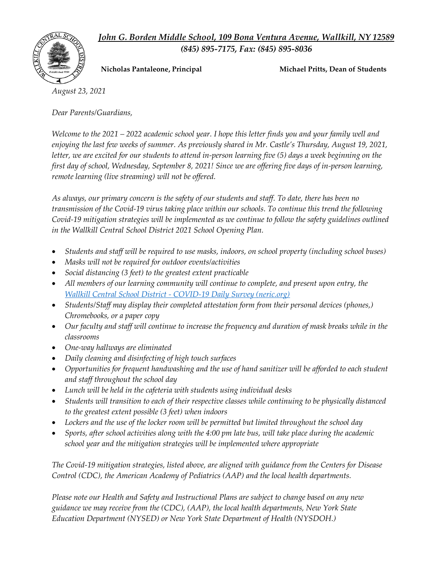*John G. Borden Middle School, 109 Bona Ventura Avenue, Wallkill, NY 12589 (845) 895-7175, Fax: (845) 895-8036*



**Nicholas Pantaleone, Principal Michael Pritts, Dean of Students**

*August 23, 2021*

*Dear Parents/Guardians,* 

*Welcome to the 2021 – 2022 academic school year. I hope this letter finds you and your family well and enjoying the last few weeks of summer. As previously shared in Mr. Castle's Thursday, August 19, 2021, letter, we are excited for our students to attend in-person learning five (5) days a week beginning on the first day of school, Wednesday, September 8, 2021! Since we are offering five days of in-person learning, remote learning (live streaming) will not be offered.* 

*As always, our primary concern is the safety of our students and staff. To date, there has been no transmission of the Covid-19 virus taking place within our schools. To continue this trend the following Covid-19 mitigation strategies will be implemented as we continue to follow the safety guidelines outlined in the Wallkill Central School District 2021 School Opening Plan.* 

- *Students and staff will be required to use masks, indoors, on school property (including school buses)*
- *Masks will not be required for outdoor events/activities*
- *Social distancing (3 feet) to the greatest extent practicable*
- *All members of our learning community will continue to complete, and present upon entry, the Wallkill Central School District - [COVID-19 Daily Survey \(neric.org\)](https://entry.neric.org/wallkillcsd-student)*
- *Students/Staff may display their completed attestation form from their personal devices (phones,) Chromebooks, or a paper copy*
- *Our faculty and staff will continue to increase the frequency and duration of mask breaks while in the classrooms*
- *One-way hallways are eliminated*
- *Daily cleaning and disinfecting of high touch surfaces*
- *Opportunities for frequent handwashing and the use of hand sanitizer will be afforded to each student and staff throughout the school day*
- *Lunch will be held in the cafeteria with students using individual desks*
- *Students will transition to each of their respective classes while continuing to be physically distanced to the greatest extent possible (3 feet) when indoors*
- *Lockers and the use of the locker room will be permitted but limited throughout the school day*
- *Sports, after school activities along with the 4:00 pm late bus, will take place during the academic school year and the mitigation strategies will be implemented where appropriate*

*The Covid-19 mitigation strategies, listed above, are aligned with guidance from the Centers for Disease Control (CDC), the American Academy of Pediatrics (AAP) and the local health departments.* 

*Please note our Health and Safety and Instructional Plans are subject to change based on any new guidance we may receive from the (CDC), (AAP), the local health departments, New York State Education Department (NYSED) or New York State Department of Health (NYSDOH.)*